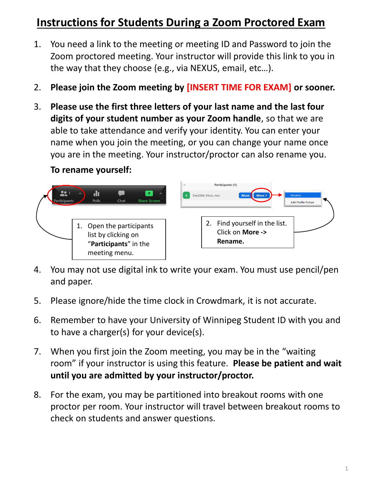# **Instructions for Students During a Zoom Proctored Exam**

- 1. You need a link to the meeting or meeting ID and Password to join the Zoom proctored meeting. Your instructor will provide this link to you in the way that they choose (e.g., via NEXUS, email, etc…).
- 2. **Please join the Zoom meeting by [INSERT TIME FOR EXAM] or sooner.**
- 3. **Please use the first three letters of your last name and the last four digits of your student number as your Zoom handle**, so that we are able to take attendance and verify your identity. You can enter your name when you join the meeting, or you can change your name once you are in the meeting. Your instructor/proctor can also rename you.

#### **To rename yourself:**



- 4. You may not use digital ink to write your exam. You must use pencil/pen and paper.
- 5. Please ignore/hide the time clock in Crowdmark, it is not accurate.
- 6. Remember to have your University of Winnipeg Student ID with you and to have a charger(s) for your device(s).
- 7. When you first join the Zoom meeting, you may be in the "waiting room" if your instructor is using this feature. **Please be patient and wait until you are admitted by your instructor/proctor.**
- 8. For the exam, you may be partitioned into breakout rooms with one proctor per room. Your instructor will travel between breakout rooms to check on students and answer questions.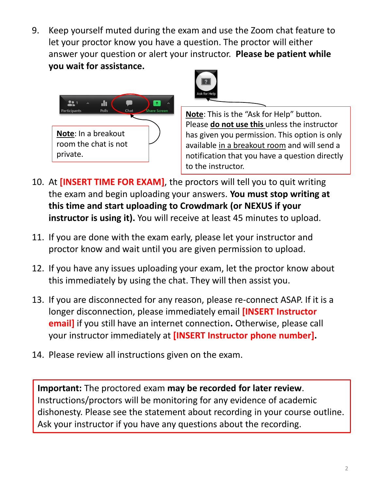9. Keep yourself muted during the exam and use the Zoom chat feature to let your proctor know you have a question. The proctor will either answer your question or alert your instructor. **Please be patient while you wait for assistance.**





**Note**: This is the "Ask for Help" button. Please **do not use this** unless the instructor has given you permission. This option is only available in a breakout room and will send a notification that you have a question directly to the instructor.

- 10. At **[INSERT TIME FOR EXAM]**, the proctors will tell you to quit writing the exam and begin uploading your answers. **You must stop writing at this time and start uploading to Crowdmark (or NEXUS if your instructor is using it).** You will receive at least 45 minutes to upload.
- 11. If you are done with the exam early, please let your instructor and proctor know and wait until you are given permission to upload.
- 12. If you have any issues uploading your exam, let the proctor know about this immediately by using the chat. They will then assist you.
- 13. If you are disconnected for any reason, please re-connect ASAP. If it is a longer disconnection, please immediately email **[INSERT Instructor email]** if you still have an internet connection**.** Otherwise, please call your instructor immediately at **[INSERT Instructor phone number].**
- 14. Please review all instructions given on the exam.

**Important:** The proctored exam **may be recorded for later review**. Instructions/proctors will be monitoring for any evidence of academic dishonesty. Please see the statement about recording in your course outline. Ask your instructor if you have any questions about the recording.